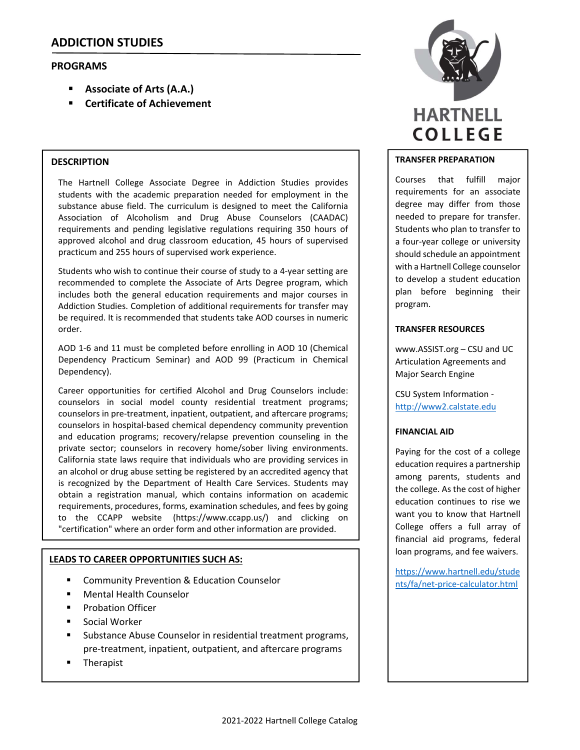# **PROGRAMS**

- **Associate of Arts (A.A.)**
- **Certificate of Achievement**

### **DESCRIPTION**

The Hartnell College Associate Degree in Addiction Studies provides students with the academic preparation needed for employment in the substance abuse field. The curriculum is designed to meet the California Association of Alcoholism and Drug Abuse Counselors (CAADAC) requirements and pending legislative regulations requiring 350 hours of approved alcohol and drug classroom education, 45 hours of supervised practicum and 255 hours of supervised work experience.

Students who wish to continue their course of study to a 4‐year setting are recommended to complete the Associate of Arts Degree program, which includes both the general education requirements and major courses in Addiction Studies. Completion of additional requirements for transfer may be required. It is recommended that students take AOD courses in numeric order.

AOD 1‐6 and 11 must be completed before enrolling in AOD 10 (Chemical Dependency Practicum Seminar) and AOD 99 (Practicum in Chemical Dependency).

Career opportunities for certified Alcohol and Drug Counselors include: counselors in social model county residential treatment programs; counselors in pre‐treatment, inpatient, outpatient, and aftercare programs; counselors in hospital‐based chemical dependency community prevention and education programs; recovery/relapse prevention counseling in the private sector; counselors in recovery home/sober living environments. California state laws require that individuals who are providing services in an alcohol or drug abuse setting be registered by an accredited agency that is recognized by the Department of Health Care Services. Students may obtain a registration manual, which contains information on academic requirements, procedures, forms, examination schedules, and fees by going to the CCAPP website (https://www.ccapp.us/) and clicking on "certification" where an order form and other information are provided.

## **LEADS TO CAREER OPPORTUNITIES SUCH AS:**

- Community Prevention & Education Counselor
- Mental Health Counselor
- Probation Officer
- Social Worker
- Substance Abuse Counselor in residential treatment programs, pre‐treatment, inpatient, outpatient, and aftercare programs
- Therapist



#### **TRANSFER PREPARATION**

Courses that fulfill major requirements for an associate degree may differ from those needed to prepare for transfer. Students who plan to transfer to a four‐year college or university should schedule an appointment with a Hartnell College counselor to develop a student education plan before beginning their program.

#### **TRANSFER RESOURCES**

www.ASSIST.org – CSU and UC Articulation Agreements and Major Search Engine

CSU System Information ‐ http://www2.calstate.edu

#### **FINANCIAL AID**

Paying for the cost of a college education requires a partnership among parents, students and the college. As the cost of higher education continues to rise we want you to know that Hartnell College offers a full array of financial aid programs, federal loan programs, and fee waivers.

https://www.hartnell.edu/stude nts/fa/net‐price‐calculator.html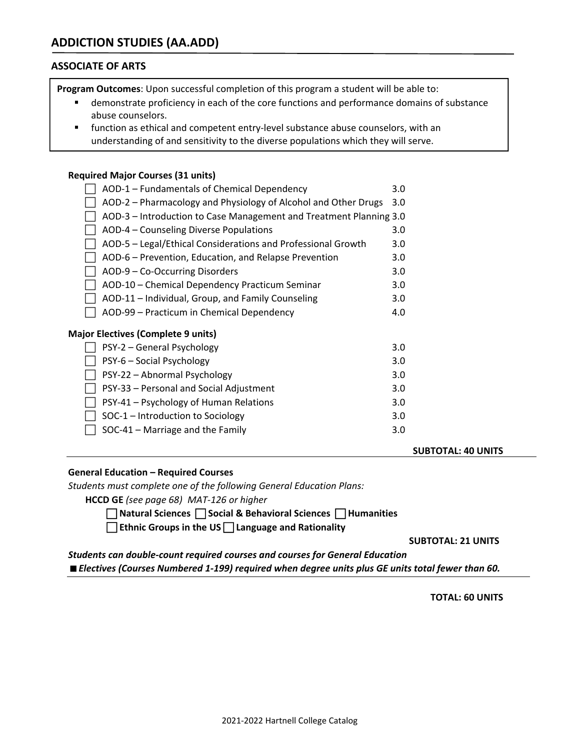# **ASSOCIATE OF ARTS**

**Program Outcomes**: Upon successful completion of this program a student will be able to:

- demonstrate proficiency in each of the core functions and performance domains of substance abuse counselors.
- function as ethical and competent entry-level substance abuse counselors, with an understanding of and sensitivity to the diverse populations which they will serve.

### **Required Major Courses (31 units)**

| AOD-1 - Fundamentals of Chemical Dependency                        | 3.0 |
|--------------------------------------------------------------------|-----|
| AOD-2 – Pharmacology and Physiology of Alcohol and Other Drugs     | 3.0 |
| AOD-3 - Introduction to Case Management and Treatment Planning 3.0 |     |
| AOD-4 – Counseling Diverse Populations                             | 3.0 |
| AOD-5 - Legal/Ethical Considerations and Professional Growth       | 3.0 |
| AOD-6 - Prevention, Education, and Relapse Prevention              | 3.0 |
| AOD-9 - Co-Occurring Disorders                                     | 3.0 |
| AOD-10 - Chemical Dependency Practicum Seminar                     | 3.0 |
| AOD-11 – Individual, Group, and Family Counseling                  | 3.0 |
| AOD-99 – Practicum in Chemical Dependency                          | 4.0 |
| <b>Major Electives (Complete 9 units)</b>                          |     |
| PSY-2 – General Psychology                                         | 3.0 |
| PSY-6 - Social Psychology                                          | 3.0 |
| PSY-22 - Abnormal Psychology                                       | 3.0 |
| PSY-33 - Personal and Social Adjustment                            | 3.0 |
| PSY-41 – Psychology of Human Relations                             | 3.0 |
| SOC-1 - Introduction to Sociology                                  | 3.0 |
| SOC-41 - Marriage and the Family                                   | 3.0 |

 **SUBTOTAL: 40 UNITS**

## **General Education – Required Courses**

*Students must complete one of the following General Education Plans:*

**HCCD GE** *(see page 68) MAT‐126 or higher*

 **Natural Sciences Social & Behavioral Sciences Humanities** 

**Ethnic Groups in the US Language and Rationality**

 **SUBTOTAL: 21 UNITS** 

*Students can double‐count required courses and courses for General Education Electives (Courses Numbered 1‐199) required when degree units plus GE units total fewer than 60.*

 **TOTAL: 60 UNITS**